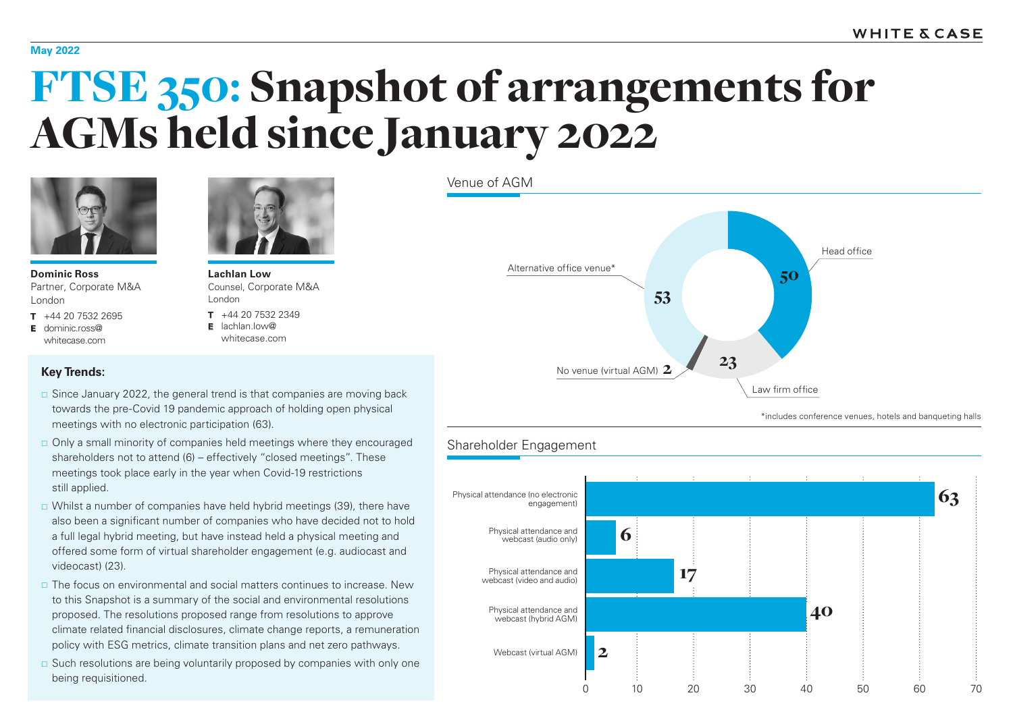#### **May 2022**

# FTSE 350: Snapshot of arrangements for AGMs held since January 2022



**Dominic Ross** Partner, Corporate M&A London

**T** +44 20 7532 2695 **E** dominic.ross@ whitecase.com



**Lachlan Low** Counsel, Corporate M&A London

**T** +44 20 7532 2349 **E** lachlan.low@ whitecase.com

## Venue of AGM Alternative office venue\* Law firm office Head office No venue (virtual AGM) 2 53 50 23

\*includes conference venues, hotels and banqueting halls

### Shareholder Engagement



#### **Key Trends:**

- $\Box$  Since January 2022, the general trend is that companies are moving back towards the pre-Covid 19 pandemic approach of holding open physical meetings with no electronic participation (63).
- Only a small minority of companies held meetings where they encouraged shareholders not to attend (6) – effectively "closed meetings". These meetings took place early in the year when Covid-19 restrictions still applied.
- $\Box$  Whilst a number of companies have held hybrid meetings (39), there have also been a significant number of companies who have decided not to hold a full legal hybrid meeting, but have instead held a physical meeting and offered some form of virtual shareholder engagement (e.g. audiocast and videocast) (23).
- $\Box$  The focus on environmental and social matters continues to increase. New to this Snapshot is a summary of the social and environmental resolutions proposed. The resolutions proposed range from resolutions to approve climate related financial disclosures, climate change reports, a remuneration policy with ESG metrics, climate transition plans and net zero pathways.
- $\Box$  Such resolutions are being voluntarily proposed by companies with only one being requisitioned.